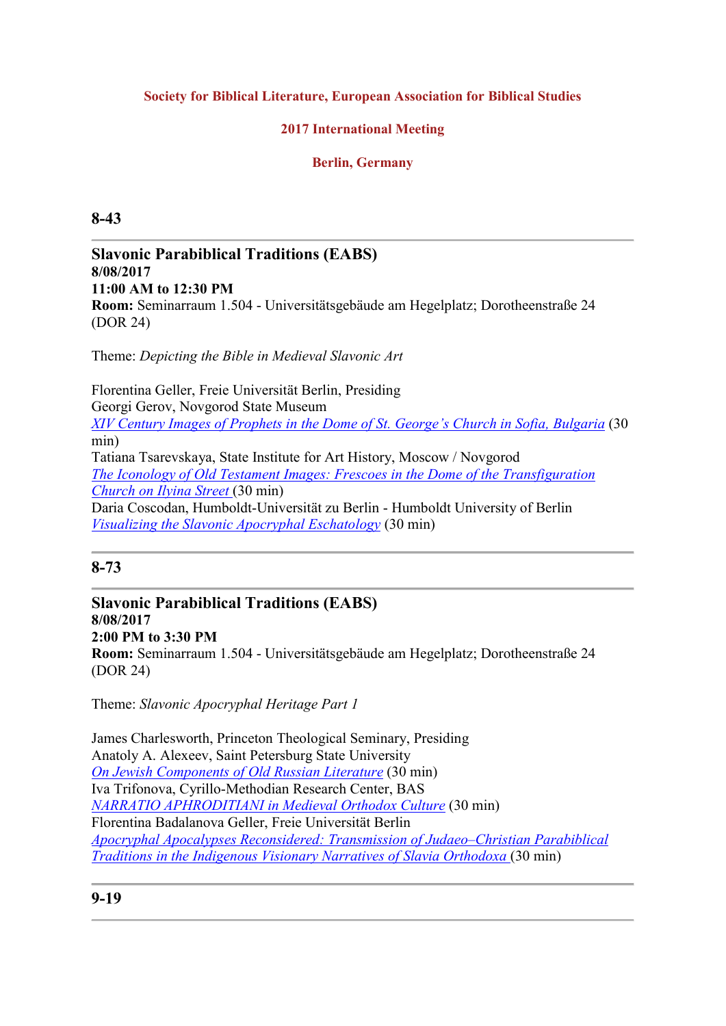### Society for Biblical Literature, European Association for Biblical Studies

### 2017 International Meeting

### Berlin, Germany

### 8-43

### Slavonic Parabiblical Traditions (EABS) 8/08/2017 11:00 AM to 12:30 PM Room: Seminarraum 1.504 - Universitätsgebäude am Hegelplatz; Dorotheenstraße 24 (DOR 24)

Theme: Depicting the Bible in Medieval Slavonic Art

Florentina Geller, Freie Universität Berlin, Presiding Georgi Gerov, Novgorod State Museum XIV Century Images of Prophets in the Dome of St. George's Church in Sofia, Bulgaria (30 min) Tatiana Tsarevskaya, State Institute for Art History, Moscow / Novgorod The Iconology of Old Testament Images: Frescoes in the Dome of the Transfiguration Church on Ilyina Street (30 min) Daria Coscodan, Humboldt-Universität zu Berlin - Humboldt University of Berlin Visualizing the Slavonic Apocryphal Eschatology (30 min)

## 8-73

Slavonic Parabiblical Traditions (EABS) 8/08/2017 2:00 PM to 3:30 PM Room: Seminarraum 1.504 - Universitätsgebäude am Hegelplatz; Dorotheenstraße 24 (DOR 24)

Theme: Slavonic Apocryphal Heritage Part 1

James Charlesworth, Princeton Theological Seminary, Presiding Anatoly A. Alexeev, Saint Petersburg State University On Jewish Components of Old Russian Literature (30 min) Iva Trifonova, Cyrillo-Methodian Research Center, BAS NARRATIO APHRODITIANI in Medieval Orthodox Culture (30 min) Florentina Badalanova Geller, Freie Universität Berlin Apocryphal Apocalypses Reconsidered: Transmission of Judaeo–Christian Parabiblical Traditions in the Indigenous Visionary Narratives of Slavia Orthodoxa (30 min)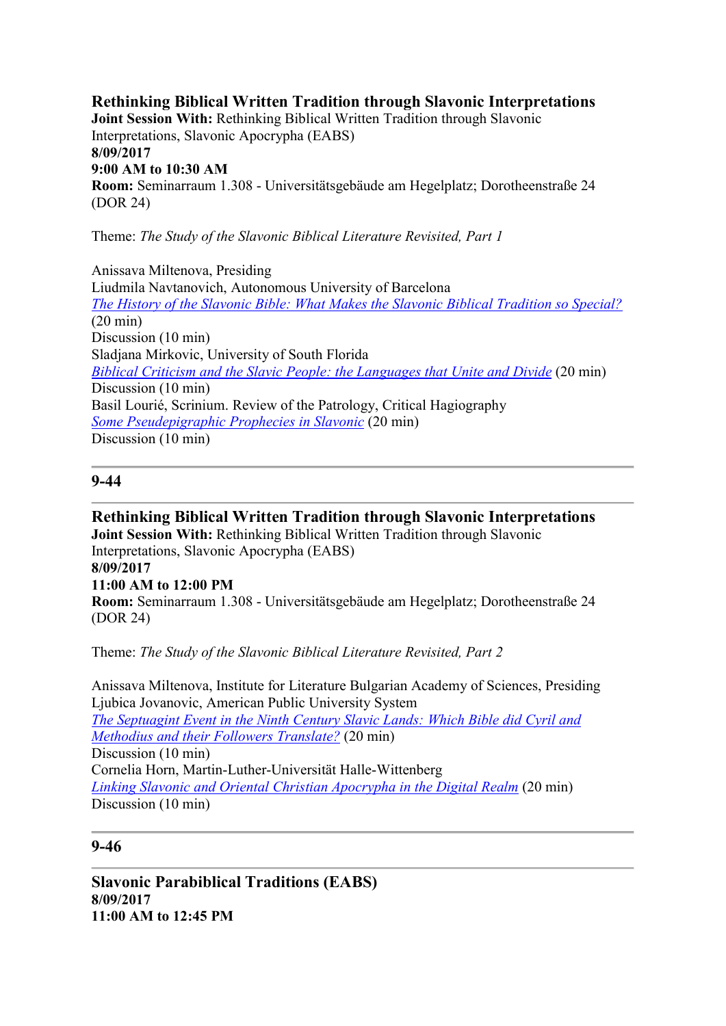Rethinking Biblical Written Tradition through Slavonic Interpretations Joint Session With: Rethinking Biblical Written Tradition through Slavonic Interpretations, Slavonic Apocrypha (EABS) 8/09/2017 9:00 AM to 10:30 AM Room: Seminarraum 1.308 - Universitätsgebäude am Hegelplatz; Dorotheenstraße 24 (DOR 24)

Theme: The Study of the Slavonic Biblical Literature Revisited, Part 1

Anissava Miltenova, Presiding Liudmila Navtanovich, Autonomous University of Barcelona The History of the Slavonic Bible: What Makes the Slavonic Biblical Tradition so Special? (20 min) Discussion (10 min) Sladjana Mirkovic, University of South Florida Biblical Criticism and the Slavic People: the Languages that Unite and Divide (20 min) Discussion (10 min) Basil Lourié, Scrinium. Review of the Patrology, Critical Hagiography Some Pseudepigraphic Prophecies in Slavonic (20 min) Discussion (10 min)

### 9-44

Rethinking Biblical Written Tradition through Slavonic Interpretations Joint Session With: Rethinking Biblical Written Tradition through Slavonic Interpretations, Slavonic Apocrypha (EABS) 8/09/2017 11:00 AM to 12:00 PM Room: Seminarraum 1.308 - Universitätsgebäude am Hegelplatz; Dorotheenstraße 24 (DOR 24)

Theme: The Study of the Slavonic Biblical Literature Revisited, Part 2

Anissava Miltenova, Institute for Literature Bulgarian Academy of Sciences, Presiding Ljubica Jovanovic, American Public University System The Septuagint Event in the Ninth Century Slavic Lands: Which Bible did Cyril and Methodius and their Followers Translate? (20 min) Discussion (10 min) Cornelia Horn, Martin-Luther-Universität Halle-Wittenberg Linking Slavonic and Oriental Christian Apocrypha in the Digital Realm (20 min) Discussion (10 min)

## 9-46

Slavonic Parabiblical Traditions (EABS) 8/09/2017 11:00 AM to 12:45 PM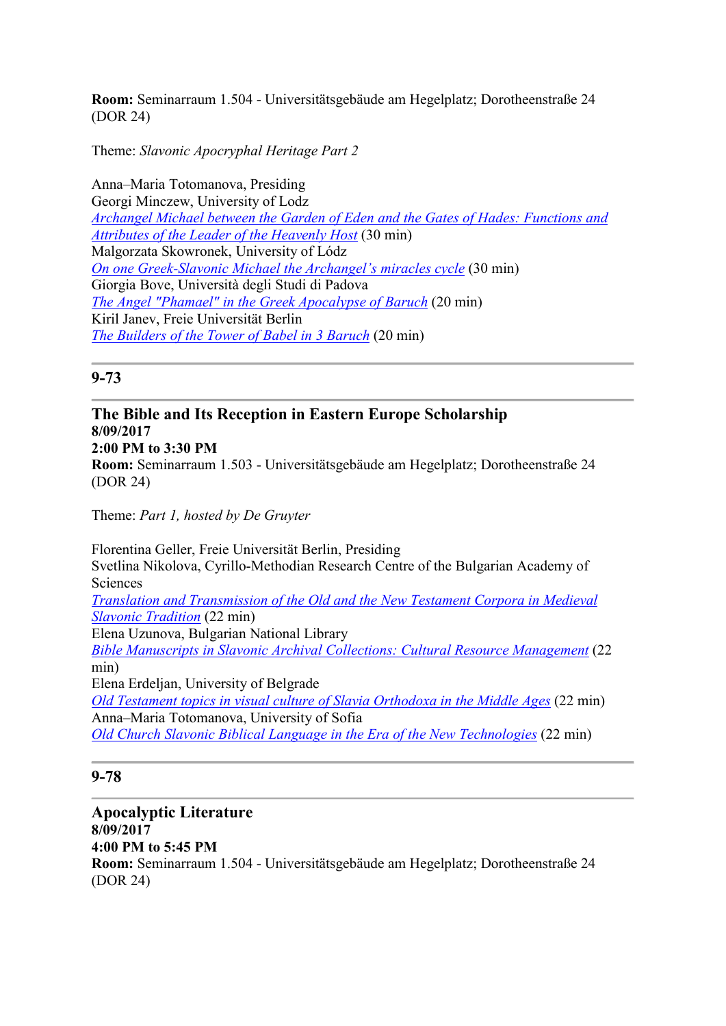Room: Seminarraum 1.504 - Universitätsgebäude am Hegelplatz; Dorotheenstraße 24 (DOR 24)

Theme: Slavonic Apocryphal Heritage Part 2

Anna–Maria Totomanova, Presiding Georgi Minczew, University of Lodz Archangel Michael between the Garden of Eden and the Gates of Hades: Functions and Attributes of the Leader of the Heavenly Host (30 min) Malgorzata Skowronek, University of Lódz On one Greek-Slavonic Michael the Archangel's miracles cycle (30 min) Giorgia Bove, Università degli Studi di Padova The Angel "Phamael" in the Greek Apocalypse of Baruch (20 min) Kiril Janev, Freie Universität Berlin The Builders of the Tower of Babel in 3 Baruch (20 min)

### 9-73

### The Bible and Its Reception in Eastern Europe Scholarship 8/09/2017 2:00 PM to 3:30 PM Room: Seminarraum 1.503 - Universitätsgebäude am Hegelplatz; Dorotheenstraße 24 (DOR 24)

Theme: Part 1, hosted by De Gruyter

Florentina Geller, Freie Universität Berlin, Presiding Svetlina Nikolova, Cyrillo-Methodian Research Centre of the Bulgarian Academy of Sciences Translation and Transmission of the Old and the New Testament Corpora in Medieval Slavonic Tradition (22 min) Elena Uzunova, Bulgarian National Library Bible Manuscripts in Slavonic Archival Collections: Cultural Resource Management (22 min) Elena Erdeljan, University of Belgrade Old Testament topics in visual culture of Slavia Orthodoxa in the Middle Ages (22 min) Anna–Maria Totomanova, University of Sofia Old Church Slavonic Biblical Language in the Era of the New Technologies (22 min)

### 9-78

Apocalyptic Literature 8/09/2017 4:00 PM to 5:45 PM Room: Seminarraum 1.504 - Universitätsgebäude am Hegelplatz; Dorotheenstraße 24 (DOR 24)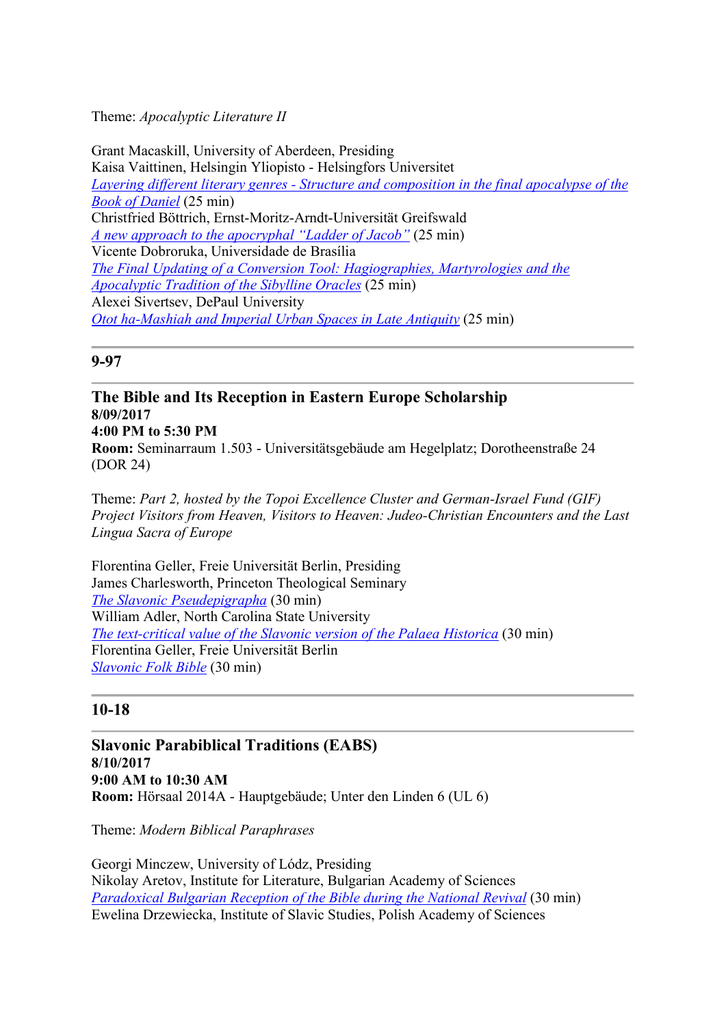### Theme: Apocalyptic Literature II

Grant Macaskill, University of Aberdeen, Presiding Kaisa Vaittinen, Helsingin Yliopisto - Helsingfors Universitet Layering different literary genres - Structure and composition in the final apocalypse of the Book of Daniel (25 min) Christfried Böttrich, Ernst-Moritz-Arndt-Universität Greifswald A new approach to the apocryphal "Ladder of Jacob" (25 min) Vicente Dobroruka, Universidade de Brasília The Final Updating of a Conversion Tool: Hagiographies, Martyrologies and the Apocalyptic Tradition of the Sibylline Oracles (25 min) Alexei Sivertsev, DePaul University Otot ha-Mashiah and Imperial Urban Spaces in Late Antiquity (25 min)

### 9-97

The Bible and Its Reception in Eastern Europe Scholarship 8/09/2017 4:00 PM to 5:30 PM Room: Seminarraum 1.503 - Universitätsgebäude am Hegelplatz; Dorotheenstraße 24 (DOR 24)

Theme: Part 2, hosted by the Topoi Excellence Cluster and German-Israel Fund (GIF) Project Visitors from Heaven, Visitors to Heaven: Judeo-Christian Encounters and the Last Lingua Sacra of Europe

Florentina Geller, Freie Universität Berlin, Presiding James Charlesworth, Princeton Theological Seminary The Slavonic Pseudepigrapha (30 min) William Adler, North Carolina State University The text-critical value of the Slavonic version of the Palaea Historica (30 min) Florentina Geller, Freie Universität Berlin Slavonic Folk Bible (30 min)

## 10-18

Slavonic Parabiblical Traditions (EABS) 8/10/2017 9:00 AM to 10:30 AM Room: Hörsaal 2014A - Hauptgebäude; Unter den Linden 6 (UL 6)

Theme: Modern Biblical Paraphrases

Georgi Minczew, University of Lódz, Presiding Nikolay Aretov, Institute for Literature, Bulgarian Academy of Sciences Paradoxical Bulgarian Reception of the Bible during the National Revival (30 min) Ewelina Drzewiecka, Institute of Slavic Studies, Polish Academy of Sciences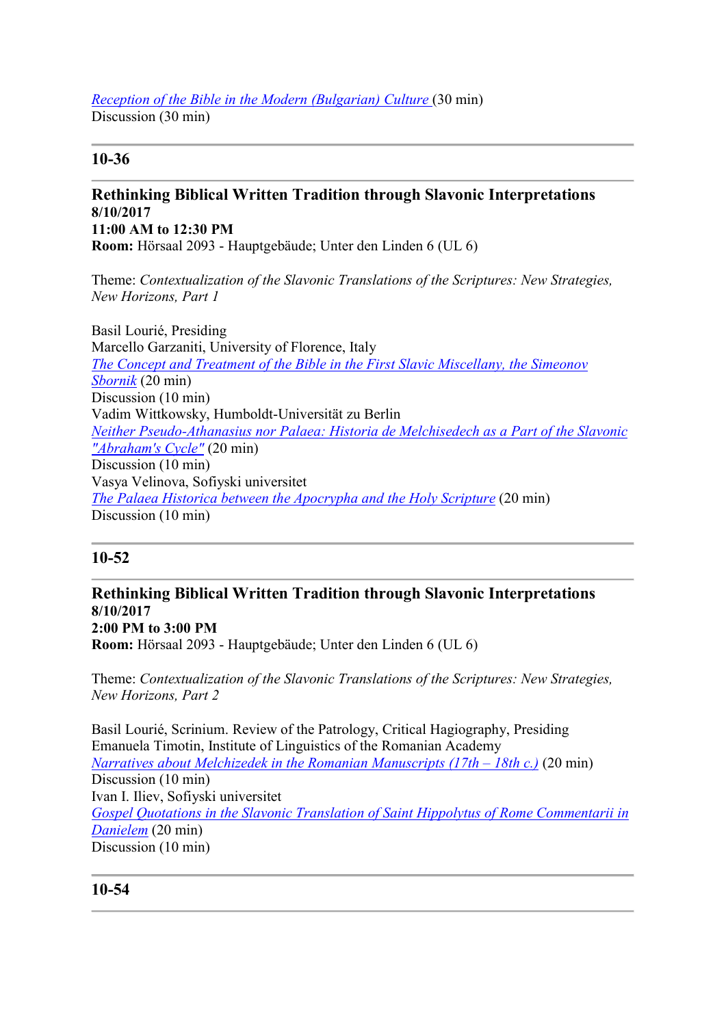#### Reception of the Bible in the Modern (Bulgarian) Culture (30 min) Discussion (30 min)

# 10-36

# Rethinking Biblical Written Tradition through Slavonic Interpretations 8/10/2017 11:00 AM to 12:30 PM

Room: Hörsaal 2093 - Hauptgebäude; Unter den Linden 6 (UL 6)

Theme: Contextualization of the Slavonic Translations of the Scriptures: New Strategies, New Horizons, Part 1

Basil Lourié, Presiding Marcello Garzaniti, University of Florence, Italy The Concept and Treatment of the Bible in the First Slavic Miscellany, the Simeonov Sbornik (20 min) Discussion (10 min) Vadim Wittkowsky, Humboldt-Universität zu Berlin Neither Pseudo-Athanasius nor Palaea: Historia de Melchisedech as a Part of the Slavonic "Abraham's Cycle" (20 min) Discussion (10 min) Vasya Velinova, Sofiyski universitet The Palaea Historica between the Apocrypha and the Holy Scripture (20 min) Discussion (10 min)

# 10-52

### Rethinking Biblical Written Tradition through Slavonic Interpretations 8/10/2017 2:00 PM to 3:00 PM Room: Hörsaal 2093 - Hauptgebäude; Unter den Linden 6 (UL 6)

Theme: Contextualization of the Slavonic Translations of the Scriptures: New Strategies, New Horizons, Part 2

Basil Lourié, Scrinium. Review of the Patrology, Critical Hagiography, Presiding Emanuela Timotin, Institute of Linguistics of the Romanian Academy Narratives about Melchizedek in the Romanian Manuscripts  $(17th - 18th c)$  (20 min) Discussion (10 min) Ivan I. Iliev, Sofiyski universitet Gospel Quotations in the Slavonic Translation of Saint Hippolytus of Rome Commentarii in Danielem (20 min) Discussion (10 min)

## 10-54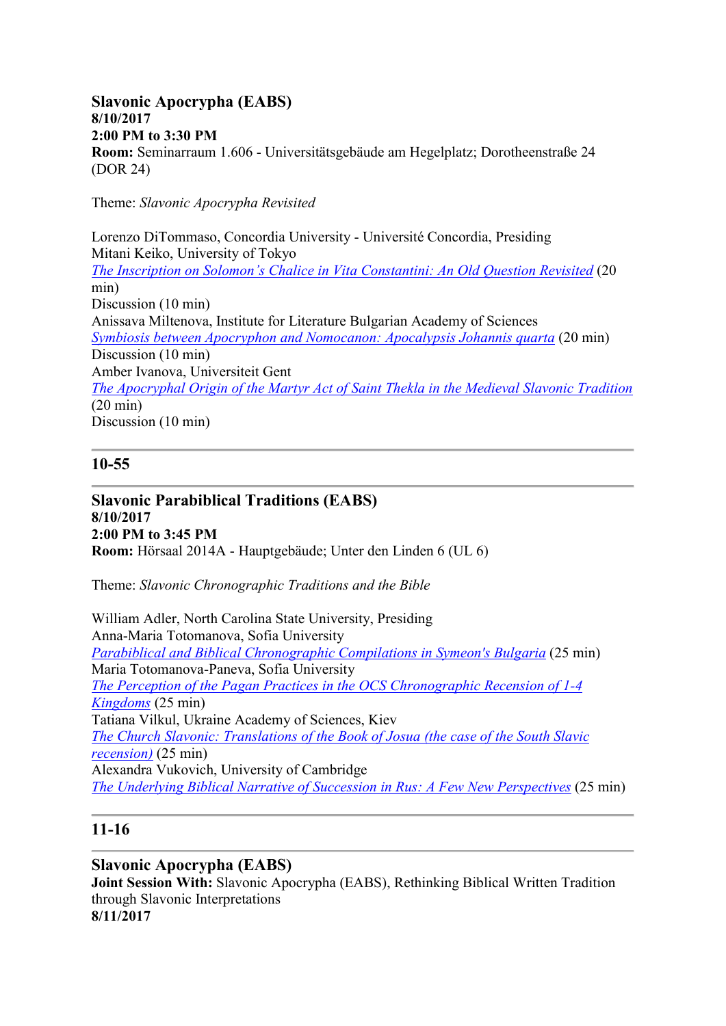### Slavonic Apocrypha (EABS) 8/10/2017 2:00 PM to 3:30 PM Room: Seminarraum 1.606 - Universitätsgebäude am Hegelplatz; Dorotheenstraße 24 (DOR 24)

Theme: Slavonic Apocrypha Revisited

Lorenzo DiTommaso, Concordia University - Université Concordia, Presiding Mitani Keiko, University of Tokyo The Inscription on Solomon's Chalice in Vita Constantini: An Old Question Revisited (20 min) Discussion (10 min) Anissava Miltenova, Institute for Literature Bulgarian Academy of Sciences Symbiosis between Apocryphon and Nomocanon: Apocalypsis Johannis quarta (20 min) Discussion (10 min) Amber Ivanova, Universiteit Gent The Apocryphal Origin of the Martyr Act of Saint Thekla in the Medieval Slavonic Tradition (20 min) Discussion (10 min)

### 10-55

Slavonic Parabiblical Traditions (EABS) 8/10/2017 2:00 PM to 3:45 PM Room: Hörsaal 2014A - Hauptgebäude; Unter den Linden 6 (UL 6)

Theme: Slavonic Chronographic Traditions and the Bible

William Adler, North Carolina State University, Presiding Anna-Maria Totomanova, Sofia University Parabiblical and Biblical Chronographic Compilations in Symeon's Bulgaria (25 min) Maria Totomanova-Paneva, Sofia University The Perception of the Pagan Practices in the OCS Chronographic Recension of 1-4 Kingdoms (25 min) Tatiana Vilkul, Ukraine Academy of Sciences, Kiev The Church Slavonic: Translations of the Book of Josua (the case of the South Slavic  $recession$  (25 min)</u> Alexandra Vukovich, University of Cambridge The Underlying Biblical Narrative of Succession in Rus: A Few New Perspectives (25 min)

## 11-16

## Slavonic Apocrypha (EABS)

Joint Session With: Slavonic Apocrypha (EABS), Rethinking Biblical Written Tradition through Slavonic Interpretations 8/11/2017